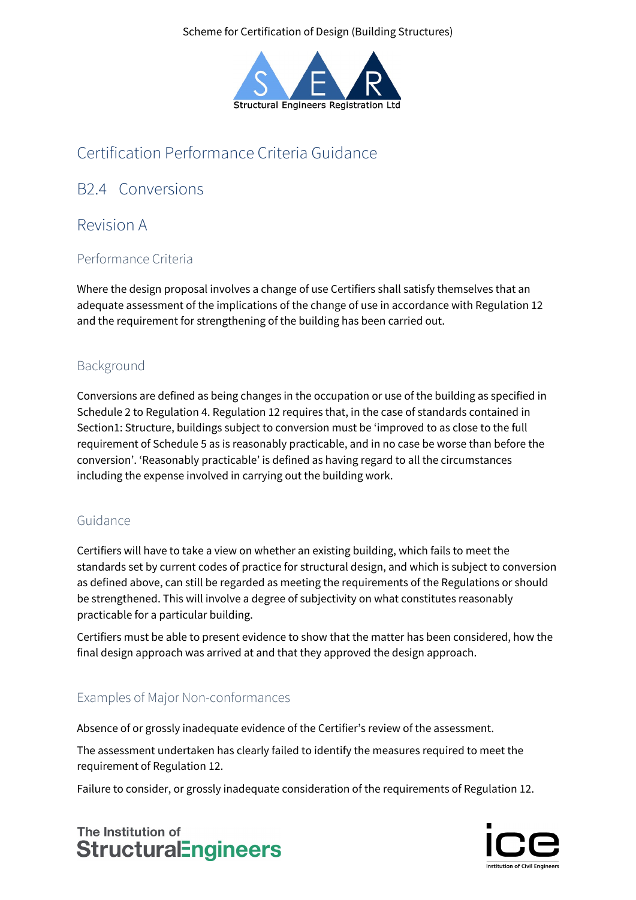Scheme for Certification of Design (Building Structures)



# Certification Performance Criteria Guidance

## B2.4 Conversions

## Revision A

#### Performance Criteria

Where the design proposal involves a change of use Certifiers shall satisfy themselves that an adequate assessment of the implications of the change of use in accordance with Regulation 12 and the requirement for strengthening of the building has been carried out.

### Background

Conversions are defined as being changes in the occupation or use of the building as specified in Schedule 2 to Regulation 4. Regulation 12 requires that, in the case of standards contained in Section1: Structure, buildings subject to conversion must be 'improved to as close to the full requirement of Schedule 5 as is reasonably practicable, and in no case be worse than before the conversion'. 'Reasonably practicable' is defined as having regard to all the circumstances including the expense involved in carrying out the building work.

#### Guidance

Certifiers will have to take a view on whether an existing building, which fails to meet the standards set by current codes of practice for structural design, and which is subject to conversion as defined above, can still be regarded as meeting the requirements of the Regulations or should be strengthened. This will involve a degree of subjectivity on what constitutes reasonably practicable for a particular building.

Certifiers must be able to present evidence to show that the matter has been considered, how the final design approach was arrived at and that they approved the design approach.

### Examples of Major Non-conformances

Absence of or grossly inadequate evidence of the Certifier's review of the assessment.

The assessment undertaken has clearly failed to identify the measures required to meet the requirement of Regulation 12.

Failure to consider, or grossly inadequate consideration of the requirements of Regulation 12.

## The Institution of **StructuralEngineers**